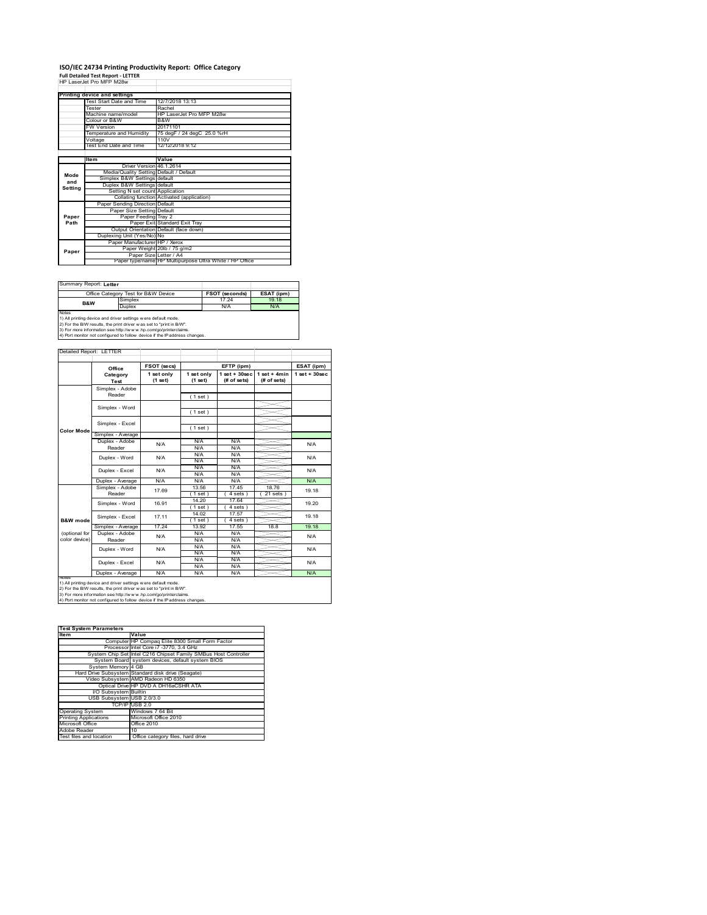# **ISO/IEC 24734 Printing Productivity Report: Office Category Full Detailed Test Report ‐ LETTER** HP LaserJet Pro MFP M28w

|         | HP LaserJet Pro MFP MZ8W                |                                                         |
|---------|-----------------------------------------|---------------------------------------------------------|
|         | Printing device and settings            |                                                         |
|         | Test Start Date and Time                | 12/7/2018 13:13                                         |
|         | Tester                                  | Rachel                                                  |
|         | Machine name/model                      | HP LaserJet Pro MFP M28w                                |
|         | Colour or B&W                           | B&W                                                     |
|         | <b>FW Version</b>                       | 20171101                                                |
|         |                                         |                                                         |
|         | Temperature and Humidity                | 75 degF / 24 degC 25.0 %rH                              |
|         | Voltage                                 | 110V                                                    |
|         | Test End Date and Time                  | 12/12/2018 9:12                                         |
|         |                                         |                                                         |
|         | Item                                    | Value                                                   |
|         | Driver Version 46.1.2614                |                                                         |
| Mode    | Media/Quality Setting Default / Default |                                                         |
| and     | Simplex B&W Settings default            |                                                         |
| Setting | Duplex B&W Settings default             |                                                         |
|         | Setting N set count Application         |                                                         |
|         |                                         | Collating function Activated (application)              |
|         | Paper Sending Direction Default         |                                                         |
|         | Paper Size Setting Default              |                                                         |
| Paper   | Paper Feeding Tray 2                    |                                                         |
| Path    |                                         | Paper Exit Standard Exit Trav                           |
|         |                                         | Output Orientation Default (face down)                  |
|         | Duplexing Unit (Yes/No) No              |                                                         |
|         | Paper Manufacturer HP / Xerox           |                                                         |
| Paper   |                                         | Paper Weight 20lb / 75 g/m2                             |
|         | Paper Size Letter / A4                  |                                                         |
|         |                                         | Paper type/name HP Multipurpose Ultra White / HP Office |

Summary Report: **Letter**

|                                                                | Office Category Test for B&W Device | <b>FSOT (seconds)</b> | ESAT (ipm) |  |  |  |  |
|----------------------------------------------------------------|-------------------------------------|-----------------------|------------|--|--|--|--|
| B&W                                                            | Simplex                             | 17 24                 | 19 18      |  |  |  |  |
|                                                                | Duplex                              | N/A                   | N/A        |  |  |  |  |
| Notes                                                          |                                     |                       |            |  |  |  |  |
| 1) All printing device and driver settings w ere default mode. |                                     |                       |            |  |  |  |  |
|                                                                |                                     |                       |            |  |  |  |  |

1) All printing device and driver settings were default mode.<br>2) For the B/W results, the print driver was set to "print in B/W".<br>3) For more information see http://www.hp.com/go/printerclaims.<br>4) Port monitor not configur

|               | Office                    | FSOT (secs)           |                       | EFTP (ipm)                       |                               | ESAT (ipm)        |  |
|---------------|---------------------------|-----------------------|-----------------------|----------------------------------|-------------------------------|-------------------|--|
|               | Category<br>Test          | 1 set only<br>(1 set) | 1 set only<br>(1 set) | $1$ set $+30$ sec<br>(# of sets) | $1$ set + 4min<br>(# of sets) | $1$ set $+30$ sec |  |
|               | Simplex - Adobe           |                       |                       |                                  |                               |                   |  |
|               | Reader                    |                       | (1 set)               |                                  |                               |                   |  |
|               | Simplex - Word            |                       |                       |                                  |                               |                   |  |
|               |                           |                       | (1 set)               |                                  |                               |                   |  |
|               | Simplex - Excel           |                       |                       |                                  |                               |                   |  |
| Color Mode    |                           |                       | (1 set)               |                                  |                               |                   |  |
|               | Simplex - Average         |                       |                       |                                  |                               |                   |  |
|               | Duplex - Adobe            | N/A                   | N/A                   | N/A                              |                               | N/A               |  |
|               | Reader                    |                       | N/A                   | N/A                              |                               |                   |  |
|               | Duplex - Word             | N/A                   | N/A                   | N/A                              |                               | N/A               |  |
|               |                           |                       | N/A                   | N/A                              |                               |                   |  |
|               | Duplex - Excel            | N/A                   | N/A                   | N/A                              |                               | N/A               |  |
|               |                           |                       | N/A                   | N/A                              |                               |                   |  |
|               | Duplex - Average          | N/A                   | N/A                   | N/A                              |                               | N/A               |  |
|               | Simplex - Adobe<br>Reader | 17.69                 | 13.56                 | 17.45                            | 1876                          | 19.18             |  |
|               |                           |                       | 1 set )               | 4 sets                           | 21 sets                       |                   |  |
|               | Simplex - Word            | 16.91                 | 14.20                 | 17.64                            |                               | 19.20             |  |
|               |                           |                       | $1$ set)              | $4 sets$ )                       |                               |                   |  |
|               | Simplex - Excel           | 17.11                 | 14.02                 | 17.57                            |                               | 19.18             |  |
| B&W mode      |                           |                       | $1$ set)              | 4 sets )                         |                               |                   |  |
|               | Simplex - Average         | 17 24                 | 13.92                 | 17.55                            | 18.8                          | 19.18             |  |
| (optional for | Duplex - Adobe            | N/A                   | N/A                   | N/A                              |                               | N/A               |  |
| color device) | Reader                    |                       | N/A                   | N/A                              |                               |                   |  |
|               | Duplex - Word             | N/A                   | N/A                   | N/A                              |                               | N/A               |  |
|               |                           |                       | N/A                   | N/A                              |                               |                   |  |
|               | Duplex - Excel            | N/A                   | N/A                   | N/A                              |                               | N/A               |  |
|               |                           |                       | N/A                   | N/A                              |                               |                   |  |
|               | Duplex - Average          | N/A                   | N/A                   | N/A                              |                               | N/A               |  |

| <b>Test System Parameters</b> |                                                                 |  |  |  |
|-------------------------------|-----------------------------------------------------------------|--|--|--|
| <b>Item</b>                   | Value                                                           |  |  |  |
|                               | Computer HP Compag Elite 8300 Small Form Factor                 |  |  |  |
|                               | Processor Intel Core i7 -3770, 3.4 GHz                          |  |  |  |
|                               | System Chip Set Intel C216 Chipset Family SMBus Host Controller |  |  |  |
|                               | System Board system devices, default system BIOS                |  |  |  |
| System Memory 4 GB            |                                                                 |  |  |  |
|                               | Hard Drive Subsystem Standard disk drive (Seagate)              |  |  |  |
|                               | Video Subsystem AMD Radeon HD 6350                              |  |  |  |
|                               | Optical Drive HP DVD A DH16aCSHR ATA                            |  |  |  |
| I/O Subsystem Builtin         |                                                                 |  |  |  |
| USB Subsystem USB 2.0/3.0     |                                                                 |  |  |  |
|                               | TCP/IPIUSB 2.0                                                  |  |  |  |
| <b>Operating System</b>       | Windows 7 64 Bit                                                |  |  |  |
| <b>Printing Applications</b>  | Microsoft Office 2010                                           |  |  |  |
| Microsoft Office              | Office 2010                                                     |  |  |  |
| Adobe Reader                  | 10                                                              |  |  |  |
| Test files and location       | Office category files, hard drive                               |  |  |  |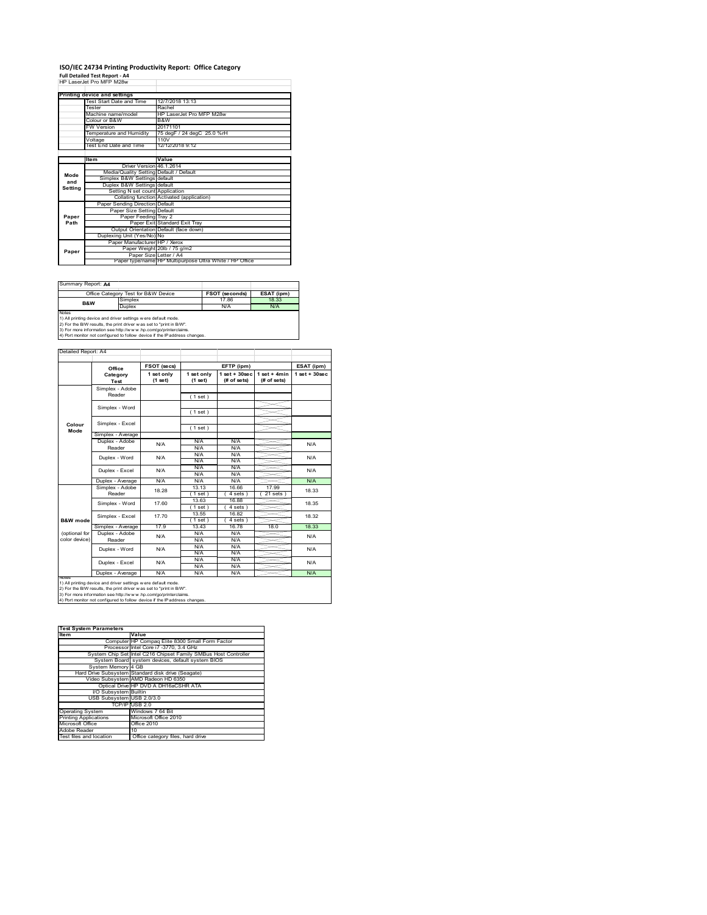### **ISO/IEC 24734 Printing Productivity Report: Office Category Full Detailed Test Report ‐ A4** HP LaserJet Pro MFP M28w

|         | HP I aser let Pro MFP M28w              |                                                         |
|---------|-----------------------------------------|---------------------------------------------------------|
|         |                                         |                                                         |
|         | Printing device and settings            |                                                         |
|         | Test Start Date and Time                | 12/7/2018 13:13                                         |
|         | Tester                                  | Rachel                                                  |
|         | Machine name/model                      | HP LaserJet Pro MFP M28w                                |
|         | Colour or B&W                           | B&W                                                     |
|         | <b>FW Version</b>                       | 20171101                                                |
|         | Temperature and Humidity                | 75 degF / 24 degC 25.0 %rH                              |
|         | Voltage                                 | 110V                                                    |
|         | Test End Date and Time                  | 12/12/2018 9:12                                         |
|         |                                         |                                                         |
|         | Item                                    | Value                                                   |
|         | Driver Version 46.1.2614                |                                                         |
| Mode    | Media/Quality Setting Default / Default |                                                         |
| and     | Simplex B&W Settings default            |                                                         |
| Setting | Duplex B&W Settings default             |                                                         |
|         | Setting N set count Application         |                                                         |
|         |                                         | Collating function Activated (application)              |
|         | Paper Sending Direction Default         |                                                         |
|         | Paper Size Setting Default              |                                                         |
| Paper   | Paper Feeding Tray 2                    |                                                         |
| Path    |                                         | Paper Exit Standard Exit Tray                           |
|         |                                         | Output Orientation Default (face down)                  |
|         | Duplexing Unit (Yes/No) No              |                                                         |
|         | Paper Manufacturer HP / Xerox           |                                                         |
| Paper   |                                         | Paper Weight 20lb / 75 g/m2                             |
|         | Paper Size Letter / A4                  |                                                         |
|         |                                         | Paper type/name HP Multipurpose Ultra White / HP Office |

Summary Report: **A4**

| <b>BUGILILIGIY INSPOIL A HA</b>                                                                                                                                                                                                                                                                  |                                     |                       |            |  |  |  |
|--------------------------------------------------------------------------------------------------------------------------------------------------------------------------------------------------------------------------------------------------------------------------------------------------|-------------------------------------|-----------------------|------------|--|--|--|
|                                                                                                                                                                                                                                                                                                  | Office Category Test for B&W Device | <b>FSOT (seconds)</b> | ESAT (ipm) |  |  |  |
| B&W                                                                                                                                                                                                                                                                                              | Simplex                             | 1786                  | 18.33      |  |  |  |
|                                                                                                                                                                                                                                                                                                  | <b>Duplex</b>                       | N/A                   | N/A        |  |  |  |
| <b>Notes</b>                                                                                                                                                                                                                                                                                     |                                     |                       |            |  |  |  |
| 1) All printing device and driver settings w ere default mode.<br>and the contract of the contract of the contract of the contract of the contract of the contract of the contract of the contract of the contract of the contract of the contract of the contract of the contract of the contra |                                     |                       |            |  |  |  |

1) All printing device and driver settings were default mode.<br>2) For the B/W results, the print driver was set to "print in B/W".<br>3) For more information see http://www.hp.com/go/printerclaims.<br>4) Port monitor not configur

|                                | Office                    | FSOT (secs)           |                       | EFTP (ipm)                       |                               | ESAT (ipm)         |
|--------------------------------|---------------------------|-----------------------|-----------------------|----------------------------------|-------------------------------|--------------------|
|                                | Category<br>Test          | 1 set only<br>(1 set) | 1 set only<br>(1 set) | $1$ set $+30$ sec<br>(# of sets) | $1$ set + 4min<br>(# of sets) | $1$ set + $30$ sec |
|                                | Simplex - Adobe<br>Reader |                       | (1 set)               |                                  |                               |                    |
|                                | Simplex - Word            |                       | (1 set)               |                                  |                               |                    |
| Colour<br>Mode                 | Simplex - Excel           |                       | (1 set)               |                                  |                               |                    |
|                                | Simplex - Average         |                       |                       |                                  |                               |                    |
|                                | Duplex - Adobe<br>Reader  | N/A                   | N/A<br>N/A            | N/A<br>N/A                       |                               | N/A                |
|                                | Duplex - Word             | N/A                   | N/A<br>N/A            | N/A<br>N/A                       |                               | N/A                |
|                                | Duplex - Excel            | N/A                   | N/A<br>N/A            | N/A<br>N/A                       |                               | N/A                |
|                                | Duplex - Average          | N/A                   | N/A                   | N/A                              |                               | N/A                |
|                                | Simplex - Adobe<br>Reader | 18.28                 | 13.13<br>$1$ set)     | 16.66<br>4 sets 1                | 17.99<br>$21$ sets $)$        | 18.33              |
|                                | Simplex - Word            | 17.60                 | 13.63<br>$1$ set)     | 16.88<br>4 sets)                 |                               | 18.35              |
| B&W mode                       | Simplex - Excel           | 17.70                 | 13.55<br>$1$ set)     | 16.82<br>$4 sets$ )              |                               | 18.32              |
|                                | Simplex - Average         | 17.9                  | 13.43                 | 16.78                            | 18.0                          | 18.33              |
| (optional for<br>color device) | Duplex - Adobe<br>Reader  | N/A                   | N/A<br>N/A            | N/A<br>N/A                       |                               | N/A                |
|                                | Duplex - Word             | N/A                   | N/A<br>N/A            | N/A<br>N/A                       |                               | N/A                |
|                                | Duplex - Excel            | N/A                   | N/A<br>N/A            | N/A<br>N/A                       |                               | N/A                |
|                                | Duplex - Average          | N/A                   | N/A                   | N/A                              |                               | N/A                |

1) All printing device and driver settings were default mode.<br>2) For the B/W results, the print driver was set to "print in B/W".<br>3) For more information see http://www.hp.com/go/printerclaims.<br>4) Port monitor not configur

| <b>Test System Parameters</b> |                                                                 |  |  |  |
|-------------------------------|-----------------------------------------------------------------|--|--|--|
| <b>Item</b>                   | Value                                                           |  |  |  |
|                               | Computer HP Compag Elite 8300 Small Form Factor                 |  |  |  |
|                               | Processor Intel Core i7 -3770, 3.4 GHz                          |  |  |  |
|                               | System Chip Set Intel C216 Chipset Family SMBus Host Controller |  |  |  |
|                               | System Board system devices, default system BIOS                |  |  |  |
| System Memory 4 GB            |                                                                 |  |  |  |
|                               | Hard Drive Subsystem Standard disk drive (Seagate)              |  |  |  |
|                               | Video Subsystem AMD Radeon HD 6350                              |  |  |  |
|                               | Optical Drive HP DVD A DH16aCSHR ATA                            |  |  |  |
| I/O Subsystem Builtin         |                                                                 |  |  |  |
| USB Subsystem USB 2.0/3.0     |                                                                 |  |  |  |
|                               | TCP/IPIUSB 2.0                                                  |  |  |  |
| <b>Operating System</b>       | Windows 7 64 Bit                                                |  |  |  |
| <b>Printing Applications</b>  | Microsoft Office 2010                                           |  |  |  |
| Microsoft Office              | Office 2010                                                     |  |  |  |
| Adobe Reader                  | 10                                                              |  |  |  |
| Test files and location       | Office category files, hard drive                               |  |  |  |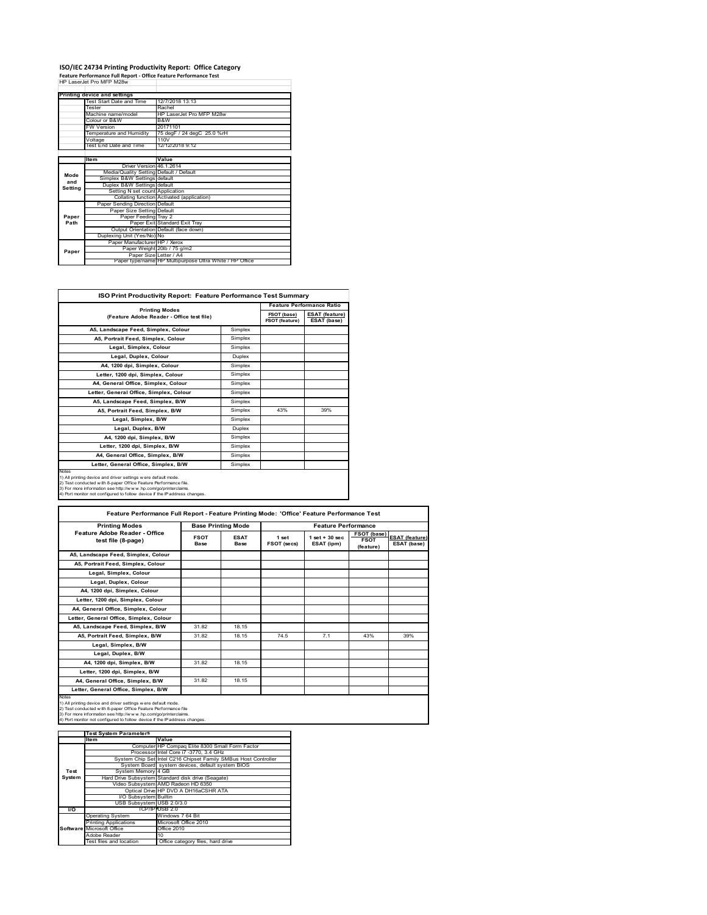## **ISO/IEC 24734 Printing Productivity Report: Office Category Feature Performance Full Report ‐ Office Feature Performance Test** HP LaserJet Pro MFP M28w

|         | Feature Performance Full Report - Office Feature Performance Test |                                                         |  |  |
|---------|-------------------------------------------------------------------|---------------------------------------------------------|--|--|
|         | HP I aser let Pro MFP M28w                                        |                                                         |  |  |
|         |                                                                   |                                                         |  |  |
|         | Printing device and settings                                      |                                                         |  |  |
|         | Test Start Date and Time                                          | 12/7/2018 13:13                                         |  |  |
|         | Tester                                                            | Rachel                                                  |  |  |
|         | Machine name/model                                                | HP LaserJet Pro MFP M28w                                |  |  |
|         | Colour or B&W                                                     | B&W                                                     |  |  |
|         | <b>FW Version</b>                                                 | 20171101                                                |  |  |
|         | Temperature and Humidity                                          | 75 degF / 24 degC 25.0 %rH                              |  |  |
|         | Voltage                                                           | 110V                                                    |  |  |
|         | Test End Date and Time                                            | 12/12/2018 9:12                                         |  |  |
|         |                                                                   |                                                         |  |  |
|         | Item                                                              | Value                                                   |  |  |
|         | Driver Version 46.1.2614                                          |                                                         |  |  |
| Mode    | Media/Quality Setting Default / Default                           |                                                         |  |  |
| and     | Simplex B&W Settings default                                      |                                                         |  |  |
| Setting | Duplex B&W Settings default                                       |                                                         |  |  |
|         | Setting N set count Application                                   |                                                         |  |  |
|         |                                                                   | Collating function Activated (application)              |  |  |
|         | Paper Sending Direction Default                                   |                                                         |  |  |
|         | Paper Size Setting Default                                        |                                                         |  |  |
| Paper   | Paper Feeding Tray 2                                              |                                                         |  |  |
| Path    |                                                                   | Paper Exit Standard Exit Tray                           |  |  |
|         |                                                                   | Output Orientation Default (face down)                  |  |  |
|         | Duplexing Unit (Yes/No) No                                        |                                                         |  |  |
|         | Paper Manufacturer HP / Xerox                                     |                                                         |  |  |
| Paper   |                                                                   | Paper Weight 20lb / 75 g/m2                             |  |  |
|         | Paper Size Letter / A4                                            |                                                         |  |  |
|         |                                                                   | Paper type/name HP Multipurpose Ultra White / HP Office |  |  |

| <b>ISO Print Productivity Report: Feature Performance Test Summary</b>                                                                                                                                                                                                                      |               |                                      |                                      |  |
|---------------------------------------------------------------------------------------------------------------------------------------------------------------------------------------------------------------------------------------------------------------------------------------------|---------------|--------------------------------------|--------------------------------------|--|
| <b>Printing Modes</b>                                                                                                                                                                                                                                                                       |               | <b>Feature Performance Ratio</b>     |                                      |  |
| (Feature Adobe Reader - Office test file)                                                                                                                                                                                                                                                   |               | FSOT (base)<br><b>FSOT (feature)</b> | <b>ESAT (feature)</b><br>ESAT (base) |  |
| A5, Landscape Feed, Simplex, Colour                                                                                                                                                                                                                                                         | Simplex       |                                      |                                      |  |
| A5. Portrait Feed. Simplex. Colour                                                                                                                                                                                                                                                          | Simplex       |                                      |                                      |  |
| Legal, Simplex, Colour                                                                                                                                                                                                                                                                      | Simplex       |                                      |                                      |  |
| Legal, Duplex, Colour                                                                                                                                                                                                                                                                       | <b>Duplex</b> |                                      |                                      |  |
| A4, 1200 dpi, Simplex, Colour                                                                                                                                                                                                                                                               | Simplex       |                                      |                                      |  |
| Letter, 1200 dpi. Simplex, Colour                                                                                                                                                                                                                                                           | Simplex       |                                      |                                      |  |
| A4, General Office, Simplex, Colour                                                                                                                                                                                                                                                         | Simplex       |                                      |                                      |  |
| Letter, General Office, Simplex, Colour                                                                                                                                                                                                                                                     | Simplex       |                                      |                                      |  |
| A5, Landscape Feed, Simplex, B/W                                                                                                                                                                                                                                                            | Simplex       |                                      |                                      |  |
| A5, Portrait Feed, Simplex, B/W                                                                                                                                                                                                                                                             | Simplex       | 43%                                  | 39%                                  |  |
| Legal, Simplex, B/W                                                                                                                                                                                                                                                                         | Simplex       |                                      |                                      |  |
| Legal, Duplex, B/W                                                                                                                                                                                                                                                                          | <b>Duplex</b> |                                      |                                      |  |
| A4, 1200 dpi, Simplex, B/W                                                                                                                                                                                                                                                                  | Simplex       |                                      |                                      |  |
| Letter, 1200 dpi, Simplex, B/W                                                                                                                                                                                                                                                              | Simplex       |                                      |                                      |  |
| A4. General Office. Simplex. B/W                                                                                                                                                                                                                                                            | Simplex       |                                      |                                      |  |
| Letter, General Office, Simplex, B/W                                                                                                                                                                                                                                                        | Simplex       |                                      |                                      |  |
| Notes<br>1) All printing device and driver settings w ere default mode.<br>2) Test conducted with 8-paper Office Feature Performance file.<br>3) For more information see http://www.hp.com/go/printerclaims.<br>4) Port monitor not configured to follow device if the IP address changes. |               |                                      |                                      |  |

| <b>Printing Modes</b>                                                                                                                                                                                                                                                                             | <b>Base Printing Mode</b>  |                     | <b>Feature Performance</b> |                                  |                                         |                                      |
|---------------------------------------------------------------------------------------------------------------------------------------------------------------------------------------------------------------------------------------------------------------------------------------------------|----------------------------|---------------------|----------------------------|----------------------------------|-----------------------------------------|--------------------------------------|
| Feature Adobe Reader - Office<br>test file (8-page)                                                                                                                                                                                                                                               | <b>FSOT</b><br><b>Base</b> | <b>ESAT</b><br>Base | 1 set<br>FSOT (secs)       | $1$ set $+30$ sec.<br>ESAT (ipm) | FSOT (base)<br><b>FSOT</b><br>(feature) | <b>ESAT (feature)</b><br>ESAT (base) |
| A5. Landscape Feed. Simplex. Colour                                                                                                                                                                                                                                                               |                            |                     |                            |                                  |                                         |                                      |
| A5, Portrait Feed, Simplex, Colour                                                                                                                                                                                                                                                                |                            |                     |                            |                                  |                                         |                                      |
| Legal, Simplex, Colour                                                                                                                                                                                                                                                                            |                            |                     |                            |                                  |                                         |                                      |
| Legal, Duplex, Colour                                                                                                                                                                                                                                                                             |                            |                     |                            |                                  |                                         |                                      |
| A4, 1200 dpi, Simplex, Colour                                                                                                                                                                                                                                                                     |                            |                     |                            |                                  |                                         |                                      |
| Letter, 1200 dpi. Simplex, Colour                                                                                                                                                                                                                                                                 |                            |                     |                            |                                  |                                         |                                      |
| A4, General Office, Simplex, Colour                                                                                                                                                                                                                                                               |                            |                     |                            |                                  |                                         |                                      |
| Letter, General Office, Simplex, Colour                                                                                                                                                                                                                                                           |                            |                     |                            |                                  |                                         |                                      |
| A5, Landscape Feed, Simplex, B/W                                                                                                                                                                                                                                                                  | 31.82                      | 18.15               |                            |                                  |                                         |                                      |
| A5, Portrait Feed, Simplex, B/W                                                                                                                                                                                                                                                                   | 31.82                      | 18.15               | 74.5                       | 7.1                              | 43%                                     | 39%                                  |
| Legal, Simplex, B/W                                                                                                                                                                                                                                                                               |                            |                     |                            |                                  |                                         |                                      |
| Legal, Duplex, B/W                                                                                                                                                                                                                                                                                |                            |                     |                            |                                  |                                         |                                      |
| A4. 1200 dpi. Simplex. B/W                                                                                                                                                                                                                                                                        | 31.82                      | 18.15               |                            |                                  |                                         |                                      |
| Letter, 1200 dpi, Simplex, B/W                                                                                                                                                                                                                                                                    |                            |                     |                            |                                  |                                         |                                      |
| A4, General Office, Simplex, B/W                                                                                                                                                                                                                                                                  | 31.82                      | 18.15               |                            |                                  |                                         |                                      |
| Letter, General Office, Simplex, B/W                                                                                                                                                                                                                                                              |                            |                     |                            |                                  |                                         |                                      |
| <b>Notes</b><br>1) All printing device and driver settings w ere default mode.<br>2) Test conducted with 8-paper Office Feature Performance file<br>3) For more information see http://www.hp.com/go/printerclaims.<br>4) Port monitor not configured to follow device if the IP address changes. |                            |                     |                            |                                  |                                         |                                      |

|           | <b>Test System Parameters</b> |                                                                 |
|-----------|-------------------------------|-----------------------------------------------------------------|
|           | lte m                         | Value                                                           |
|           |                               | Computer HP Compaq Elite 8300 Small Form Factor                 |
|           |                               | Processor Intel Core i7 -3770, 3.4 GHz                          |
|           |                               | System Chip Set Intel C216 Chipset Family SMBus Host Controller |
|           |                               | System Board system devices, default system BIOS                |
| Test      | System Memory 4 GB            |                                                                 |
| System    |                               | Hard Drive Subsystem Standard disk drive (Seagate)              |
|           |                               | Video Subsystem AMD Radeon HD 6350                              |
|           |                               | Optical Drive HP DVD A DH16aCSHR ATA                            |
|           | I/O Subsystem Builtin         |                                                                 |
|           | USB Subsystem USB 2.0/3.0     |                                                                 |
| <b>VO</b> |                               | TCP/IPIUSB 2.0                                                  |
|           | <b>Operating System</b>       | Windows 7 64 Bit                                                |
|           | <b>Printing Applications</b>  | Microsoft Office 2010                                           |
|           | Software Microsoft Office     | Office 2010                                                     |
|           | Adobe Reader                  | 10                                                              |
|           | Test files and location       | Office category files, hard drive                               |
|           |                               |                                                                 |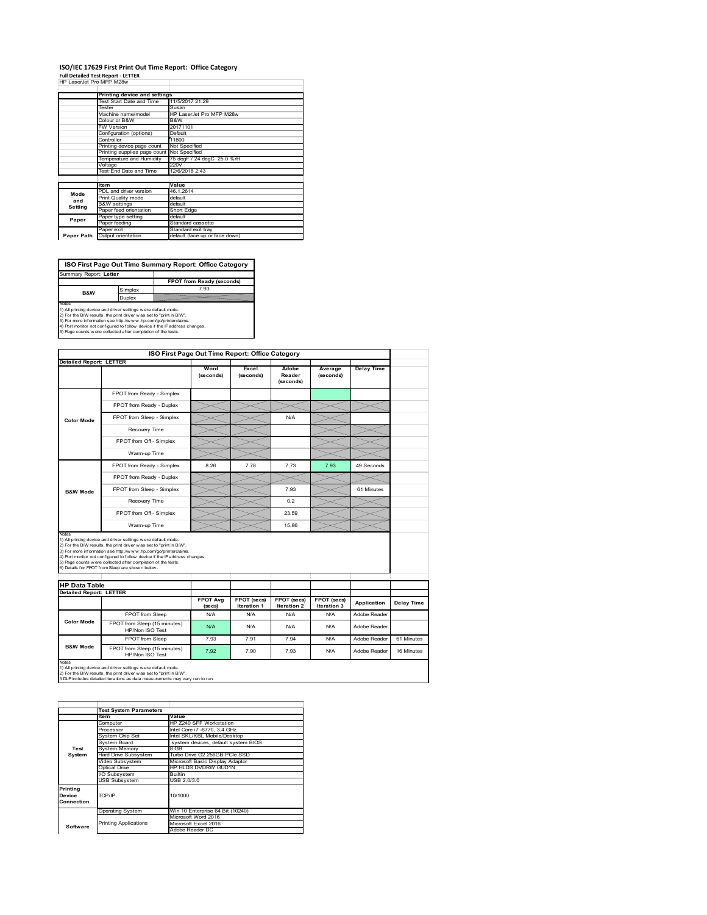## **ISO/IEC 17629 First Print Out Time Report: Office Category**

| <b>Full Detailed Test Report - LETTER</b> |  |
|-------------------------------------------|--|
| HP LaserJet Pro MFP M28w                  |  |

|            | Printing device and settings               |                                |  |  |
|------------|--------------------------------------------|--------------------------------|--|--|
|            | Test Start Date and Time                   | 11/5/2017 21:29                |  |  |
|            | Tester                                     | Susan                          |  |  |
|            | Machine name/model                         | HP LaserJet Pro MFP M28w       |  |  |
|            | Colour or B&W                              | B&W                            |  |  |
|            | <b>FW Version</b>                          | 20171101                       |  |  |
|            | Configuration (options)                    | Default                        |  |  |
|            | Controller                                 | 11800                          |  |  |
|            | Printing device page count                 | Not Specified                  |  |  |
|            | Printing supplies page count Not Specified | 75 degF / 24 degC 25.0 %rH     |  |  |
|            | Temperature and Humidity                   |                                |  |  |
|            | Voltage                                    | 220V                           |  |  |
|            | Test End Date and Time                     | 12/6/2018 2:43                 |  |  |
|            |                                            |                                |  |  |
|            | <b>Item</b>                                | Value                          |  |  |
| Mode       | PDL and driver version                     | 46.1.2614                      |  |  |
| and        | Print Quality mode                         | default                        |  |  |
|            | <b>B&amp;W</b> settings                    | default                        |  |  |
| Setting    | Paper feed orientation                     | Short Edge                     |  |  |
| Paper      | Paper type setting                         | default                        |  |  |
|            | Paper feeding                              | Standard cassette              |  |  |
|            | Paper exit                                 | Standard exit tray             |  |  |
| Paper Path | Output orientation                         | default (face up or face down) |  |  |

**FPOT from Ready (seconds)**<br>
Simplex 7.93 **ISO First Page Out Time Summary Report: Office Category** Summary Report: **Letter B&W**

**Duplex**<br>Notes<br>1) All printing device and driver settings were default mode.<br>2) For the BM results, the print driver was set to "print in BM".<br>4) For more information see http://www.hp.com/golprinterclaims.<br>4) Port monitor

|                                                        |                                                                                                                                                                                                                                                                                                                                                                                                             | ISO First Page Out Time Report: Office Category |                                   |                              |                            |                   |            |
|--------------------------------------------------------|-------------------------------------------------------------------------------------------------------------------------------------------------------------------------------------------------------------------------------------------------------------------------------------------------------------------------------------------------------------------------------------------------------------|-------------------------------------------------|-----------------------------------|------------------------------|----------------------------|-------------------|------------|
| <b>Detailed Report: LETTER</b>                         |                                                                                                                                                                                                                                                                                                                                                                                                             | Word<br>(seconds)                               | Excel<br>(seconds)                | Adobe<br>Reader<br>(seconds) | Average<br>(seconds)       | <b>Delay Time</b> |            |
|                                                        | FPOT from Ready - Simplex                                                                                                                                                                                                                                                                                                                                                                                   |                                                 |                                   |                              |                            |                   |            |
|                                                        | FPOT from Ready - Duplex                                                                                                                                                                                                                                                                                                                                                                                    |                                                 |                                   |                              |                            |                   |            |
| Color Mode                                             | FPOT from Sleep - Simplex                                                                                                                                                                                                                                                                                                                                                                                   |                                                 |                                   | N/A                          |                            |                   |            |
|                                                        | Recovery Time                                                                                                                                                                                                                                                                                                                                                                                               |                                                 |                                   |                              |                            |                   |            |
|                                                        | FPOT from Off - Simplex                                                                                                                                                                                                                                                                                                                                                                                     |                                                 |                                   |                              |                            |                   |            |
|                                                        | Warm-up Time                                                                                                                                                                                                                                                                                                                                                                                                |                                                 |                                   |                              |                            |                   |            |
|                                                        | FPOT from Ready - Simplex                                                                                                                                                                                                                                                                                                                                                                                   | 8.26                                            | 7.78                              | 7.73                         | 7.93                       | 49 Seconds        |            |
|                                                        | FPOT from Ready - Duplex                                                                                                                                                                                                                                                                                                                                                                                    |                                                 |                                   |                              |                            |                   |            |
| <b>B&amp;W Mode</b>                                    | FPOT from Sleep - Simplex                                                                                                                                                                                                                                                                                                                                                                                   |                                                 |                                   | 7.93                         |                            | 61 Minutes        |            |
|                                                        | Recovery Time                                                                                                                                                                                                                                                                                                                                                                                               |                                                 |                                   | 0.2                          |                            |                   |            |
|                                                        | FPOT from Off - Simplex                                                                                                                                                                                                                                                                                                                                                                                     |                                                 |                                   | 23.59                        |                            |                   |            |
|                                                        | Warm-up Time                                                                                                                                                                                                                                                                                                                                                                                                |                                                 |                                   | 15.86                        |                            |                   |            |
|                                                        |                                                                                                                                                                                                                                                                                                                                                                                                             |                                                 |                                   |                              |                            |                   |            |
|                                                        | 1) All printing device and driver settings w ere default mode.<br>2) For the B/W results, the print driver was set to "print in B/W".<br>3) For more information see http://www.hp.com/go/printerclaims.<br>4) Port monitor not configured to follow device if the IP address changes.<br>5) Page counts w ere collected after completion of the tests.<br>6) Details for FPOT from Sleep are show n below. |                                                 |                                   |                              |                            |                   |            |
|                                                        |                                                                                                                                                                                                                                                                                                                                                                                                             |                                                 |                                   |                              |                            |                   |            |
| <b>HP Data Table</b><br><b>Detailed Report: LETTER</b> |                                                                                                                                                                                                                                                                                                                                                                                                             | <b>FPOT Avg</b><br>(se cs)                      | FPOT (secs)<br><b>Iteration 1</b> | FPOT (secs)<br>Iteration 2   | FPOT (secs)<br>Iteration 3 | Application       | Delay Time |
|                                                        | FPOT from Sleep                                                                                                                                                                                                                                                                                                                                                                                             | N/A                                             | N/A                               | N/A                          | N/A                        | Adobe Reader      |            |
| Color Mode                                             | FPOT from Sleep (15 minutes)<br>HP/Non ISO Test                                                                                                                                                                                                                                                                                                                                                             | N/A                                             | N/A                               | N/A                          | N/A                        | Adobe Reader      |            |
| <b>B&amp;W Mode</b>                                    | FPOT from Sleep                                                                                                                                                                                                                                                                                                                                                                                             | 7.93                                            | 7.91                              | 7.94                         | N/A                        | Adobe Reader      | 61 Minutes |

1) All printing device and driver settings w ere default mode.<br>2) For the B/W results, the print driver w as set to "print in B/W".<br>3 DLP includes detailed iterations as data measurements may vary run to run.

|            | <b>Test System Parameters</b> |                                     |
|------------|-------------------------------|-------------------------------------|
|            | Item                          | Value                               |
|            | Computer                      | HP Z240 SFF Workstation             |
|            | Processor                     | Intel Core i7 -6770, 3.4 GHz        |
|            | System Chip Set               | Intel SKL/KBL Mobile/Desktop        |
|            | System Board                  | system devices, default system BIOS |
| Test       | <b>System Memory</b>          | 8 GB                                |
| System     | <b>Hard Drive Subsystem</b>   | Turbo Drive G2 256GB PCle SSD       |
|            | Video Subsystem               | Microsoft Basic Display Adaptor     |
|            | Optical Drive                 | HP HLDS DVDRW GUD1N                 |
|            | I/O Subsystem                 | <b>Builtin</b>                      |
|            | <b>USB Subsystem</b>          | USB 2.0/3.0                         |
| Printing   |                               |                                     |
| Device     | TCP/IP                        | 10/1000                             |
| Connection |                               |                                     |
|            |                               |                                     |
|            | <b>Operating System</b>       | Win 10 Enterprise 64 Bit (10240)    |
|            |                               | Microsoft Word 2016                 |
| Software   | <b>Printing Applications</b>  | Microsoft Excel 2016                |
|            |                               | Adobe Reader DC                     |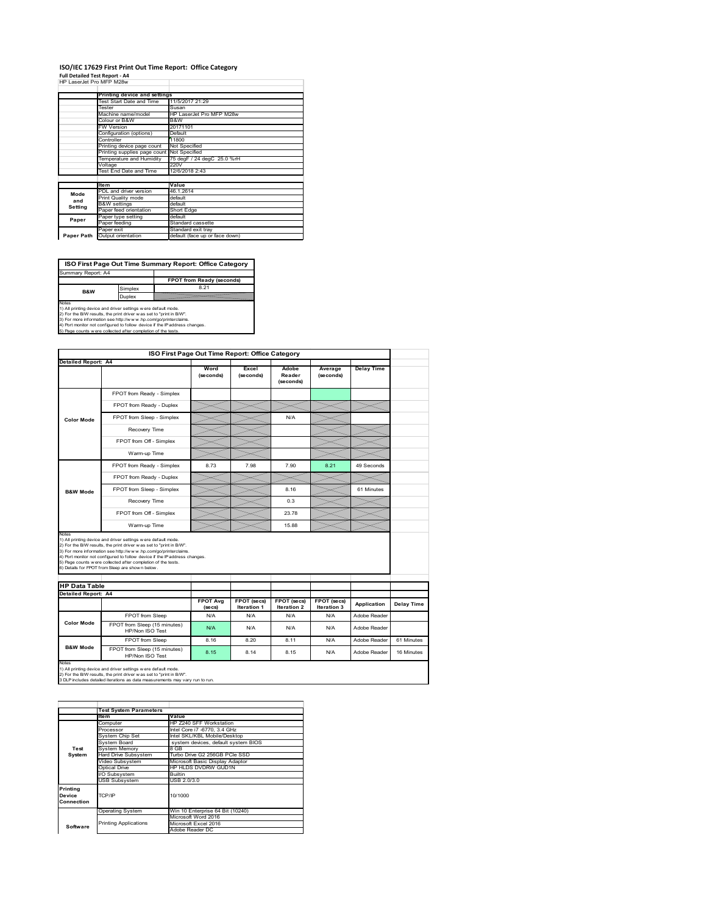#### **ISO/IEC 17629 First Print Out Time Report: Office Category Full Detailed Test Report ‐ A4**

|  | HP LaserJet Pro MFP M28w |  |  |
|--|--------------------------|--|--|

|            | Printing device and settings               |                                |  |  |
|------------|--------------------------------------------|--------------------------------|--|--|
|            | Test Start Date and Time                   | 11/5/2017 21:29                |  |  |
|            | Tester                                     | Susan                          |  |  |
|            | Machine name/model                         | HP LaserJet Pro MFP M28w       |  |  |
|            |                                            |                                |  |  |
|            | Colour or B&W                              | B&W                            |  |  |
|            | <b>FW Version</b>                          | 20171101                       |  |  |
|            | Configuration (options)                    | Default                        |  |  |
|            | Controller                                 | 11800                          |  |  |
|            | Printing device page count                 | Not Specified                  |  |  |
|            | Printing supplies page count Not Specified |                                |  |  |
|            | Temperature and Humidity                   | 75 degF / 24 degC 25.0 %rH     |  |  |
|            | Voltage                                    | 220V                           |  |  |
|            | Test End Date and Time                     | 12/6/2018 2:43                 |  |  |
|            |                                            |                                |  |  |
|            | <b>Item</b>                                | Value                          |  |  |
| Mode       | PDL and driver version                     | 46.1.2614                      |  |  |
| and        | Print Quality mode                         | default                        |  |  |
|            | <b>B&amp;W</b> settings                    | default                        |  |  |
| Setting    | Paper feed orientation                     | Short Edge                     |  |  |
| Paper      | Paper type setting                         | default                        |  |  |
|            | Paper feeding                              | Standard cassette              |  |  |
|            | Paper exit                                 | Standard exit tray             |  |  |
| Paper Path | Output orientation                         | default (face up or face down) |  |  |

**ISO First Page Out Time Summary Report: Office Category**

**FPOT from Ready (seconds)** Simplex 8.21 Duplex Notes<br>1) All printing device and driver settings were default mode.<br>2) For the BAV results, the print driver was set to "print in BAV".<br>3) For more information see http://www.hp.com/golprinterclaims.<br>4) Port monitor not co Summary Report: A4 **B&W**

| <b>Detailed Report: A4</b>                         |                                                                                                                                                                                                                                                                                                                                                                                                             |                   | ISO First Page Out Time Report: Office Category |                              |                            |                   |            |  |
|----------------------------------------------------|-------------------------------------------------------------------------------------------------------------------------------------------------------------------------------------------------------------------------------------------------------------------------------------------------------------------------------------------------------------------------------------------------------------|-------------------|-------------------------------------------------|------------------------------|----------------------------|-------------------|------------|--|
|                                                    |                                                                                                                                                                                                                                                                                                                                                                                                             |                   |                                                 |                              |                            |                   |            |  |
|                                                    |                                                                                                                                                                                                                                                                                                                                                                                                             | Word<br>(seconds) | Excel<br>(seconds)                              | Adobe<br>Reader<br>(seconds) | Average<br>(seconds)       | <b>Delay Time</b> |            |  |
|                                                    | FPOT from Ready - Simplex                                                                                                                                                                                                                                                                                                                                                                                   |                   |                                                 |                              |                            |                   |            |  |
|                                                    | FPOT from Ready - Duplex                                                                                                                                                                                                                                                                                                                                                                                    |                   |                                                 |                              |                            |                   |            |  |
| <b>Color Mode</b>                                  | FPOT from Sleep - Simplex                                                                                                                                                                                                                                                                                                                                                                                   |                   |                                                 | N/A                          |                            |                   |            |  |
|                                                    | Recovery Time                                                                                                                                                                                                                                                                                                                                                                                               |                   |                                                 |                              |                            |                   |            |  |
|                                                    | FPOT from Off - Simplex                                                                                                                                                                                                                                                                                                                                                                                     |                   |                                                 |                              |                            |                   |            |  |
|                                                    | Warm-up Time                                                                                                                                                                                                                                                                                                                                                                                                |                   |                                                 |                              |                            |                   |            |  |
|                                                    | FPOT from Ready - Simplex                                                                                                                                                                                                                                                                                                                                                                                   | 8.73              | 7.98                                            | 7.90                         | 8.21                       | 49 Seconds        |            |  |
|                                                    | FPOT from Ready - Duplex                                                                                                                                                                                                                                                                                                                                                                                    |                   |                                                 |                              |                            |                   |            |  |
| <b>B&amp;W Mode</b>                                | FPOT from Sleep - Simplex                                                                                                                                                                                                                                                                                                                                                                                   |                   |                                                 | 8.16                         |                            | 61 Minutes        |            |  |
|                                                    | Recovery Time                                                                                                                                                                                                                                                                                                                                                                                               |                   |                                                 | 0.3                          |                            |                   |            |  |
|                                                    | FPOT from Off - Simplex                                                                                                                                                                                                                                                                                                                                                                                     |                   |                                                 | 23.78                        |                            |                   |            |  |
|                                                    | Warm-up Time                                                                                                                                                                                                                                                                                                                                                                                                |                   |                                                 | 15.88                        |                            |                   |            |  |
| <b>HP Data Table</b><br><b>Detailed Report: A4</b> | 1) All printing device and driver settings w ere default mode.<br>2) For the B/W results, the print driver was set to "print in B/W".<br>3) For more information see http://www.hp.com/go/printerclaims.<br>4) Port monitor not configured to follow device if the IP address changes.<br>5) Page counts w ere collected after completion of the tests.<br>6) Details for FPOT from Sleep are show n below. |                   |                                                 |                              |                            |                   |            |  |
|                                                    |                                                                                                                                                                                                                                                                                                                                                                                                             | <b>FPOT Avg</b>   | FPOT (secs)                                     | FPOT (secs)                  |                            |                   |            |  |
|                                                    |                                                                                                                                                                                                                                                                                                                                                                                                             | (se cs)           | <b>Iteration 1</b>                              | <b>Iteration 2</b>           | FPOT (secs)<br>Iteration 3 | Application       | Delay Time |  |
|                                                    | FPOT from Sleep                                                                                                                                                                                                                                                                                                                                                                                             | N/A               | N/A                                             | N/A                          | N/A                        | Adobe Reader      |            |  |
| <b>Color Mode</b>                                  | FPOT from Sleep (15 minutes)<br>HP/Non ISO Test                                                                                                                                                                                                                                                                                                                                                             | N/A               | N/A                                             | N/A                          | N/A                        | Adobe Reader      |            |  |
| <b>B&amp;W Mode</b>                                | FPOT from Sleep                                                                                                                                                                                                                                                                                                                                                                                             | 8.16              | 8.20                                            | 8.11                         | N/A                        | Adobe Reader      | 61 Minutes |  |

|            | <b>Test System Parameters</b> |                                     |
|------------|-------------------------------|-------------------------------------|
|            | Item                          | Value                               |
|            | Computer                      | HP Z240 SFF Workstation             |
|            | Processor                     | Intel Core i7 -6770, 3.4 GHz        |
|            | System Chip Set               | Intel SKL/KBL Mobile/Desktop        |
|            | System Board                  | system devices, default system BIOS |
| Test       | <b>System Memory</b>          | 8 GB                                |
| System     | <b>Hard Drive Subsystem</b>   | Turbo Drive G2 256GB PCle SSD       |
|            | Video Subsystem               | Microsoft Basic Display Adaptor     |
|            | Optical Drive                 | HP HLDS DVDRW GUD1N                 |
|            | I/O Subsystem                 | <b>Builtin</b>                      |
|            | <b>USB Subsystem</b>          | USB 2.0/3.0                         |
| Printing   |                               |                                     |
| Device     | TCP/IP                        | 10/1000                             |
| Connection |                               |                                     |
|            |                               |                                     |
|            | <b>Operating System</b>       | Win 10 Enterprise 64 Bit (10240)    |
|            |                               | Microsoft Word 2016                 |
| Software   | <b>Printing Applications</b>  | Microsoft Excel 2016                |
|            |                               | Adobe Reader DC                     |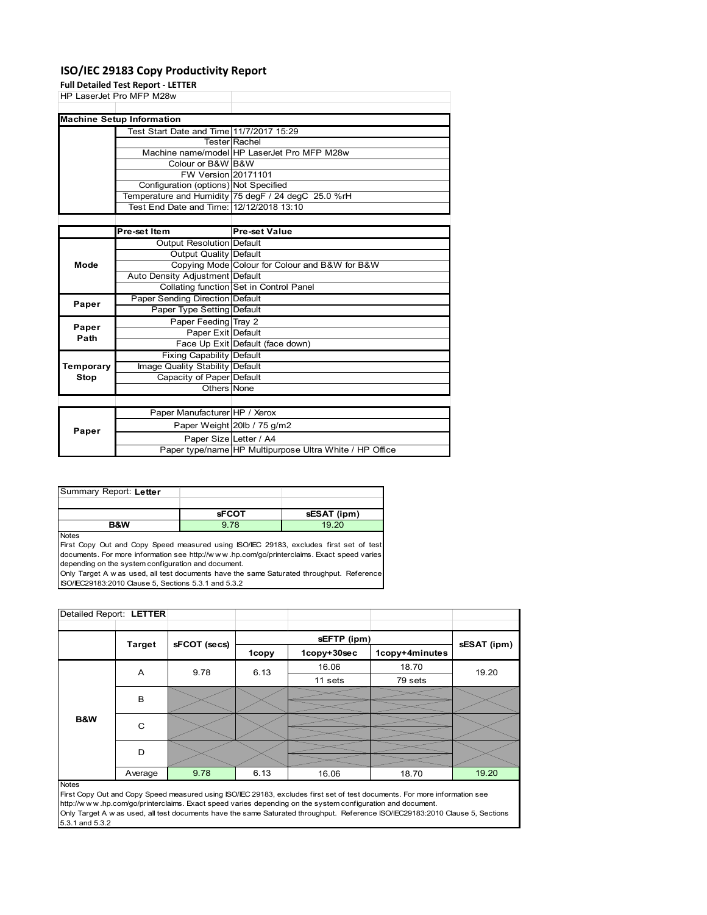## **ISO/IEC 29183 Copy Productivity Report**

**Full Detailed Test Report ‐ LETTER**

|             | Full Detailed Test Report - LETTER       |                                                     |
|-------------|------------------------------------------|-----------------------------------------------------|
|             | HP LaserJet Pro MFP M28w                 |                                                     |
|             |                                          |                                                     |
|             | <b>Machine Setup Information</b>         |                                                     |
|             | Test Start Date and Time 11/7/2017 15:29 |                                                     |
|             |                                          | <b>Tester Rachel</b>                                |
|             |                                          | Machine name/model HP LaserJet Pro MFP M28w         |
|             | Colour or B&W B&W                        |                                                     |
|             | FW Version 20171101                      |                                                     |
|             | Configuration (options) Not Specified    |                                                     |
|             |                                          | Temperature and Humidity 75 degF / 24 degC 25.0 %rH |
|             | Test End Date and Time: 12/12/2018 13:10 |                                                     |
|             |                                          |                                                     |
|             | Pre-set Item                             | <b>Pre-set Value</b>                                |
|             | <b>Output Resolution Default</b>         |                                                     |
|             | Output Quality Default                   |                                                     |
| Mode        |                                          | Copying Mode Colour for Colour and B&W for B&W      |
|             | Auto Density Adjustment Default          |                                                     |
|             |                                          | Collating function Set in Control Panel             |
| Paper       | <b>Paper Sending Direction Default</b>   |                                                     |
|             | Paper Type Setting Default               |                                                     |
| Paper       | Paper Feeding Tray 2                     |                                                     |
| Path        | Paper Exit Default                       |                                                     |
|             |                                          | Face Up Exit Default (face down)                    |
|             | <b>Fixing Capability Default</b>         |                                                     |
| Temporary   | Image Quality Stability Default          |                                                     |
| <b>Stop</b> | Capacity of Paper Default                |                                                     |
|             | Others None                              |                                                     |
|             |                                          |                                                     |
|             | Paper Manufacturer HP / Xerox            |                                                     |
| Paper       |                                          | Paper Weight 20lb / 75 g/m2                         |
|             | Paper Size Letter / A4                   |                                                     |

| Summary Report: Letter |              |             |
|------------------------|--------------|-------------|
|                        |              |             |
|                        | <b>sFCOT</b> | sESAT (ipm) |

**B&W** 9.78 19.20

**Notes** 

First Copy Out and Copy Speed measured using ISO/IEC 29183, excludes first set of test documents. For more information see http://w w w .hp.com/go/printerclaims. Exact speed varies depending on the system configuration and document.

Only Target A w as used, all test documents have the same Saturated throughput. Reference ISO/IEC29183:2010 Clause 5, Sections 5.3.1 and 5.3.2

| Detailed Report: LETTER |           |              |       |             |                |             |  |
|-------------------------|-----------|--------------|-------|-------------|----------------|-------------|--|
|                         |           |              |       |             |                |             |  |
| <b>Target</b>           |           | sFCOT (secs) |       | sEFTP (ipm) |                | sESAT (ipm) |  |
|                         |           |              | 1copy | 1copy+30sec | 1copy+4minutes |             |  |
|                         | 9.78<br>A | 6.13         | 16.06 | 18.70       | 19.20          |             |  |
|                         |           |              |       | 11 sets     | 79 sets        |             |  |
|                         | B         |              |       |             |                |             |  |
|                         |           |              |       |             |                |             |  |
| B&W                     | C         |              |       |             |                |             |  |
|                         |           |              |       |             |                |             |  |
|                         | D         |              |       |             |                |             |  |
|                         |           |              |       |             |                |             |  |
|                         | Average   | 9.78         | 6.13  | 16.06       | 18.70          | 19.20       |  |

Paper type/name HP Multipurpose Ultra White / HP Office

......<br>First Copy Out and Copy Speed measured using ISO/IEC 29183, excludes first set of test documents. For more information see http://w w w .hp.com/go/printerclaims. Exact speed varies depending on the system configuration and document. Only Target A w as used, all test documents have the same Saturated throughput. Reference ISO/IEC29183:2010 Clause 5, Sections 5.3.1 and 5.3.2

Notes